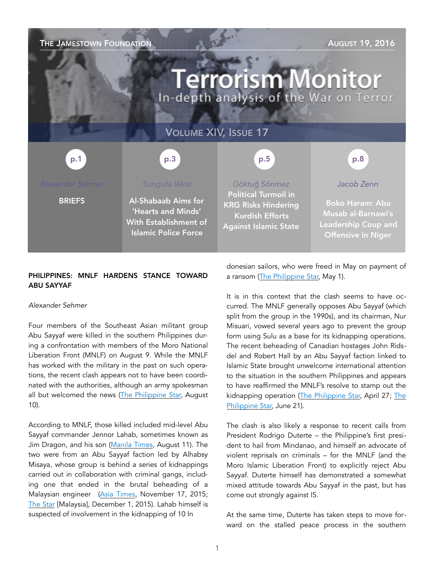

# PHILIPPINES: MNLF HARDENS STANCE TOWARD ABU SAYYAF

#### *Alexander Sehmer*

Four members of the Southeast Asian militant group Abu Sayyaf were killed in the southern Philippines during a confrontation with members of the Moro National Liberation Front (MNLF) on August 9. While the MNLF has worked with the military in the past on such operations, the recent clash appears not to have been coordinated with the authorities, although an army spokesman all but welcomed the news [\(The Philippine Star,](http://www.philstar.com/nation/2016/08/10/1611792/4-abus-slain-clash-mnlf) August 10).

According to MNLF, those killed included mid-level Abu Sayyaf commander Jennor Lahab, sometimes known as Jim Dragon, and his son ([Manila Times](http://www.manilatimes.net/mnlf-fighters-kill-4-asg-in-sulu-clash/278872/), August 11). The two were from an Abu Sayyaf faction led by Alhabsy Misaya, whose group is behind a series of kidnappings carried out in collaboration with criminal gangs, including one that ended in the brutal beheading of a Malaysian engineer ([Asia Times](http://atimes.c), November 17, 2015; [The Star](http://www.thestar.com.my/news/nation/2015/12/01/duo-abandon-brother-to-escape-pirate-siblings-flee-minutes-before-security-forces-arrive-to-na) [Malaysia], December 1, 2015). Lahab himself is suspected of involvement in the kidnapping of 10 In

donesian sailors, who were freed in May on payment of a ransom [\(The Philippine Star,](http://www.philstar.com/nation/2016/05/01/1578739/abu-sayyaf-f) May 1).

It is in this context that the clash seems to have occurred. The MNLF generally opposes Abu Sayyaf (which split from the group in the 1990s), and its chairman, Nur Misuari, vowed several years ago to prevent the group form using Sulu as a base for its kidnapping operations. The recent beheading of Canadian hostages John Ridsdel and Robert Hall by an Abu Sayyaf faction linked to Islamic State brought unwelcome international attention to the situation in the southern Philippines and appears to have reaffirmed the MNLF's resolve to stamp out the [kidnapping operation \(](http://www.philstar.com/headlines/2016/06/21/1595183/dna-tests-confirm-severed-head-belonged-canadian)[The Philippine Sta](http://www.philstar.com/nation/2016/04/27/1577341/headless-body-believed-belong-beheaded-canadian-captive-found)[r, April 27; The](http://www.philstar.com/headlines/2016/06/21/1595183/dna-tests-confirm-severed-head-belonged-canadian)  Philippine Star, June 21).

The clash is also likely a response to recent calls from President Rodrigo Duterte – the Philippine's first president to hail from Mindanao, and himself an advocate of violent reprisals on criminals – for the MNLF (and the Moro Islamic Liberation Front) to explicitly reject Abu Sayyaf. Duterte himself has demonstrated a somewhat mixed attitude towards Abu Sayyaf in the past, but has come out strongly against IS.

At the same time, Duterte has taken steps to move forward on the stalled peace process in the southern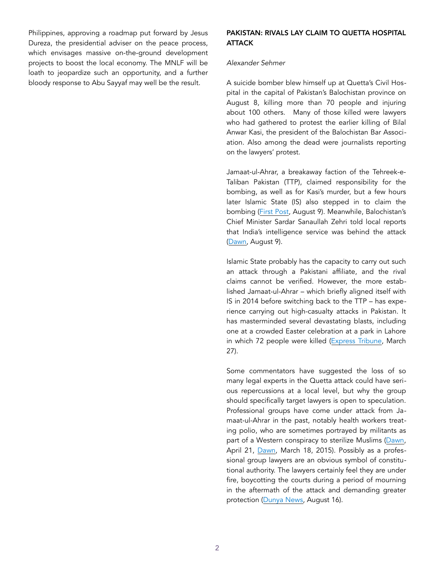Philippines, approving a roadmap put forward by Jesus Dureza, the presidential adviser on the peace process, which envisages massive on-the-ground development projects to boost the local economy. The MNLF will be loath to jeopardize such an opportunity, and a further bloody response to Abu Sayyaf may well be the result.

# PAKISTAN: RIVALS LAY CLAIM TO QUETTA HOSPITAL **ATTACK**

#### *Alexander Sehmer*

A suicide bomber blew himself up at Quetta's Civil Hospital in the capital of Pakistan's Balochistan province on August 8, killing more than 70 people and injuring about 100 others. Many of those killed were lawyers who had gathered to protest the earlier killing of Bilal Anwar Kasi, the president of the Balochistan Bar Association. Also among the dead were journalists reporting on the lawyers' protest.

Jamaat-ul-Ahrar, a breakaway faction of the Tehreek-e-Taliban Pakistan (TTP), claimed responsibility for the bombing, as well as for Kasi's murder, but a few hours later Islamic State (IS) also stepped in to claim the bombing ([First Post,](http://www.firstpost.com/world/quetta-hospital-attack-both-islamic-state-and-taliban-faction-jamaat-ul-ahrar-claim-responsibility-2944752.html) August 9). Meanwhile, Balochistan's Chief Minister Sardar Sanaullah Zehri told local reports that India's intelligence service was behind the attack ([Dawn,](http://www.dawn.com/news/1276183) August 9).

Islamic State probably has the capacity to carry out such an attack through a Pakistani affiliate, and the rival claims cannot be verified. However, the more established Jamaat-ul-Ahrar – which briefly aligned itself with IS in 2014 before switching back to the TTP – has experience carrying out high-casualty attacks in Pakistan. It has masterminded several devastating blasts, including one at a crowded Easter celebration at a park in Lahore in which 72 people were killed [\(Express Tribune,](http://tribune.com.pk/story/1073825/blast-in-lahore-leaves-several-injured/) March 27).

Some commentators have suggested the loss of so many legal experts in the Quetta attack could have serious repercussions at a local level, but why the group should specifically target lawyers is open to speculation. Professional groups have come under attack from Jamaat-ul-Ahrar in the past, notably health workers treating polio, who are sometimes portrayed by militants as part of a Western conspiracy to sterilize Muslims ([Dawn,](http://www.dawn.com/news/1253457) April 21, [Dawn,](http://www.dawn.com/news/1170353) March 18, 2015). Possibly as a professional group lawyers are an obvious symbol of constitutional authority. The lawyers certainly feel they are under fire, boycotting the courts during a period of mourning in the aftermath of the attack and demanding greater protection ([Dunya News,](http://dunyanews.tv/en/Pakistan/349215-Lawyers-strike-against-Quetta-hospital-blast-ente) August 16).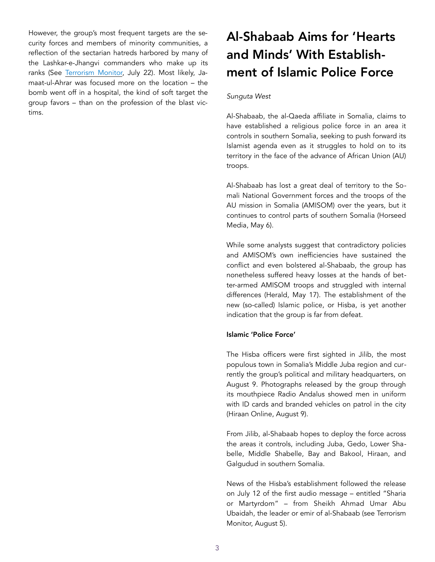However, the group's most frequent targets are the security forces and members of minority communities, a reflection of the sectarian hatreds harbored by many of the Lashkar-e-Jhangvi commanders who make up its ranks (See [Terrorism Monitor,](http://www.jamestown) July 22). Most likely, Jamaat-ul-Ahrar was focused more on the location – the bomb went off in a hospital, the kind of soft target the group favors – than on the profession of the blast victims.

# Al-Shabaab Aims for 'Hearts and Minds' With Establishment of Islamic Police Force

### *Sunguta West*

Al-Shabaab, the al-Qaeda affiliate in Somalia, claims to have established a religious police force in an area it controls in southern Somalia, seeking to push forward its Islamist agenda even as it struggles to hold on to its territory in the face of the advance of African Union (AU) troops.

Al-Shabaab has lost a great deal of territory to the Somali National Government forces and the troops of the AU mission in Somalia (AMISOM) over the years, but it [continues to control parts of southern Somalia \(Horseed](https://horseedmedia.net/2016/05/10/somalia-al-shabaab-repels-raid-by-u-s-forces/)  Media, May 6).

While some analysts suggest that contradictory policies and AMISOM's own inefficiencies have sustained the conflict and even bolstered al-Shabaab, the group has nonetheless suffered heavy losses at the hands of better-armed AMISOM troops and struggled with internal differences ([Herald,](http://www.herald.co.zw/why-does-al-shabaab-still-exist/) May 17). The establishment of the new (so-called) Islamic police, or Hisba, is yet another indication that the group is far from defeat.

#### Islamic 'Police Force'

The Hisba officers were first sighted in Jilib, the most populous town in Somalia's Middle Juba region and currently the group's political and military headquarters, on August 9. Photographs released by the group through its mouthpiece Radio Andalus showed men in uniform with ID cards and branded vehicles on patrol in the city ([Hiraan Online,](http://www.hiiraan.com/news4/2016/Aug/116955/shabaab_promotes_newly_established_islamic_police.aspx) August 9).

From Jilib, al-Shabaab hopes to deploy the force across the areas it controls, including Juba, Gedo, Lower Shabelle, Middle Shabelle, Bay and Bakool, Hiraan, and Galgudud in southern Somalia.

News of the Hisba's establishment followed the release on July 12 of the first audio message – entitled "Sharia or Martyrdom" – from Sheikh Ahmad Umar Abu [Ubaidah, the leader or emir of al-Shabaab \(see Terrorism](http://www.jamestown.org/single/?tx_ttnews%5Btt_news%5D=45713&tx_ttnews%5BbackPid%5D=7&cHash=229f889655d8b23785f1bef0b5620cc3)  Monitor, August 5).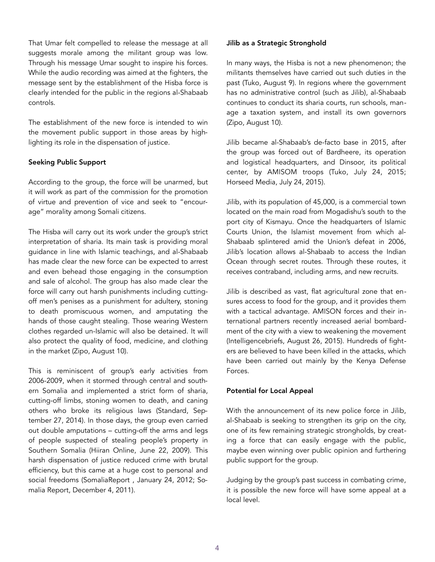That Umar felt compelled to release the message at all suggests morale among the militant group was low. Through his message Umar sought to inspire his forces. While the audio recording was aimed at the fighters, the message sent by the establishment of the Hisba force is clearly intended for the public in the regions al-Shabaab controls.

The establishment of the new force is intended to win the movement public support in those areas by highlighting its role in the dispensation of justice.

# Seeking Public Support

According to the group, the force will be unarmed, but it will work as part of the commission for the promotion of virtue and prevention of vice and seek to "encourage" morality among Somali citizens.

The Hisba will carry out its work under the group's strict interpretation of sharia. Its main task is providing moral guidance in line with Islamic teachings, and al-Shabaab has made clear the new force can be expected to arrest and even behead those engaging in the consumption and sale of alcohol. The group has also made clear the force will carry out harsh punishments including cuttingoff men's penises as a punishment for adultery, stoning to death promiscuous women, and amputating the hands of those caught stealing. Those wearing Western clothes regarded un-Islamic will also be detained. It will also protect the quality of food, medicine, and clothing in the market [\(Zipo](http://zipo.co.ke/8002/al-shabaab-launch-islamic-police-unit-called-hisba/), August 10).

This is reminiscent of group's early activities from 2006-2009, when it stormed through central and southern Somalia and implemented a strict form of sharia, cutting-off limbs, stoning women to death, and caning others who broke its religious laws [\(Standard,](http://www.standardmedia.co.ke/article/2000136329/somali-militants-stone-woman-to-death-over-adultery) September 27, 2014). In those days, the group even carried out double amputations – cutting-off the arms and legs of people suspected of stealing people's property in Southern Somalia [\(Hiiran](http://www.hiiraan.com/comments2-news-2009-jun-somali_thieves_face_amputation.aspx) Online, June 22, 2009). This harsh dispensation of justice reduced crime with brutal efficiency, but this came at a huge cost to personal and [social freedoms \(](http://www.somaliareport.com/index.php/post)[SomaliaReport](http://www.somaliareport.com/index.php/post/2614/Pirates_Copy_Al-Shabaabs_Amputation_Tactic) [, January 24, 2012; So](http://www.somaliareport.com/index.php/post)malia Report, December 4, 2011).

### Jilib as a Strategic Stronghold

In many ways, the Hisba is not a new phenomenon; the militants themselves have carried out such duties in the past ([Tuko](https://tuko.co.ke/169044-creates-police-unit-to-cut), August 9). In regions where the government has no administrative control (such as Jilib), al-Shabaab continues to conduct its sharia courts, run schools, manage a taxation system, and install its own governors ([Zipo,](http://zipo.co.ke/8002/al-shabaab-launch-islamic-police-unit-called-hisba/) August 10).

Jilib became al-Shabaab's de-facto base in 2015, after the group was forced out of Bardheere, its operation and logistical headquarters, and Dinsoor, its political center, by AMISOM troops ([Tuko,](https://tuko.co.ke/23431-al-shabaab-forced-dinsor-stronghold-somalia.html) July 24, 2015; [Horseed Media,](https://horseedmedia.net/2015/07/24/al-shabaab-flushed-out-last-major-stronghold-in-somalia/) July 24, 2015).

Jilib, with its population of 45,000, is a commercial town located on the main road from Mogadishu's south to the port city of Kismayu. Once the headquarters of Islamic Courts Union, the Islamist movement from which al-Shabaab splintered amid the Union's defeat in 2006, Jilib's location allows al-Shabaab to access the Indian Ocean through secret routes. Through these routes, it receives contraband, including arms, and new recruits.

Jilib is described as vast, flat agricultural zone that ensures access to food for the group, and it provides them with a tactical advantage. AMISON forces and their international partners recently increased aerial bombardment of the city with a view to weakening the movement ([Intelligencebriefs,](http://intelligencebriefs.com/jilib-somalia-al-shabaabs-new-headquaters-in-amisom-sector-2/) August 26, 2015). Hundreds of fighters are believed to have been killed in the attacks, which have been carried out mainly by the Kenya Defense Forces.

# Potential for Local Appeal

With the announcement of its new police force in Jilib, al-Shabaab is seeking to strengthen its grip on the city, one of its few remaining strategic strongholds, by creating a force that can easily engage with the public, maybe even winning over public opinion and furthering public support for the group.

Judging by the group's past success in combating crime, it is possible the new force will have some appeal at a local level.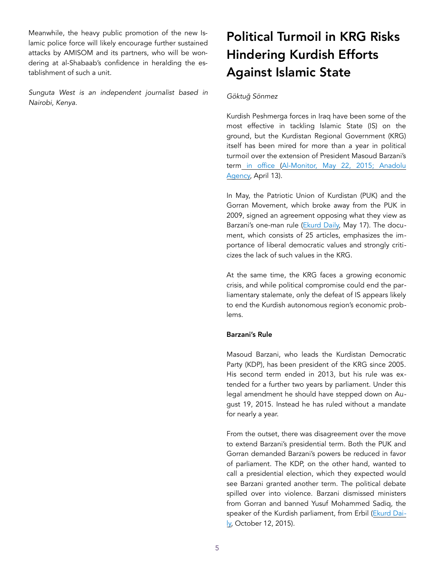Meanwhile, the heavy public promotion of the new Islamic police force will likely encourage further sustained attacks by AMISOM and its partners, who will be wondering at al-Shabaab's confidence in heralding the establishment of such a unit.

*Sunguta West is an independent journalist based in Nairobi, Kenya.* 

# Political Turmoil in KRG Risks Hindering Kurdish Efforts Against Islamic State

# *Göktu*ğ *Sönmez*

Kurdish Peshmerga forces in Iraq have been some of the most effective in tackling Islamic State (IS) on the ground, but the Kurdistan Regional Government (KRG) itself has been mired for more than a year in political turmoil over the extension of President Masoud Barzani's [term in office \(A](http://aa.com.tr/en/todays-headlines/krg-faces-economic-crisis-amid-daesh-war-official/554637)[l-Monitor](http://www.al-monitor.com/pulse/originals/2015/05/iraq)[, May 22, 2015; Anadolu](http://aa.com.tr/en/todays-headlines/krg-faces-economic-crisis-amid-daesh-war-official/554637)  Agency, April 13).

In May, the Patriotic Union of Kurdistan (PUK) and the Gorran Movement, which broke away from the PUK in 2009, signed an agreement opposing what they view as Barzani's one-man rule ([Ekurd Daily,](http://ekurd.net/puk-gorran-sign-agreement-2016-05-17) May 17). The document, which consists of 25 articles, emphasizes the importance of liberal democratic values and strongly criticizes the lack of such values in the KRG.

At the same time, the KRG faces a growing economic crisis, and while political compromise could end the parliamentary stalemate, only the defeat of IS appears likely to end the Kurdish autonomous region's economic problems.

# Barzani's Rule

Masoud Barzani, who leads the Kurdistan Democratic Party (KDP), has been president of the KRG since 2005. His second term ended in 2013, but his rule was extended for a further two years by parliament. Under this legal amendment he should have stepped down on August 19, 2015. Instead he has ruled without a mandate for nearly a year.

From the outset, there was disagreement over the move to extend Barzani's presidential term. Both the PUK and Gorran demanded Barzani's powers be reduced in favor of parliament. The KDP, on the other hand, wanted to call a presidential election, which they expected would see Barzani granted another term. The political debate spilled over into violence. Barzani dismissed ministers from Gorran and banned Yusuf Mohammed Sadiq, the [speaker of the Kurdish parliament, from Erbil \(Ekurd Dai](http://ekurd)ly, October 12, 2015).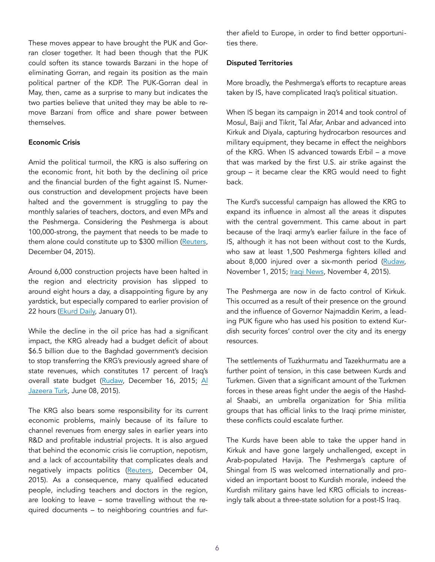These moves appear to have brought the PUK and Gorran closer together. It had been though that the PUK could soften its stance towards Barzani in the hope of eliminating Gorran, and regain its position as the main political partner of the KDP. The PUK-Gorran deal in May, then, came as a surprise to many but indicates the two parties believe that united they may be able to remove Barzani from office and share power between themselves.

#### Economic Crisis

Amid the political turmoil, the KRG is also suffering on the economic front, hit both by the declining oil price and the financial burden of the fight against IS. Numerous construction and development projects have been halted and the government is struggling to pay the monthly salaries of teachers, doctors, and even MPs and the Peshmerga. Considering the Peshmerga is about 100,000-strong, the payment that needs to be made to them alone could constitute up to \$300 million (Reuters, December 04, 2015).

Around 6,000 construction projects have been halted in the region and electricity provision has slipped to around eight hours a day, a disappointing figure by any yardstick, but especially compared to earlier provision of 22 hours ([Ekurd Daily,](http://ekurd.net/kurdistan-electricity-minister-resigns-2016-01-01) January 01).

While the decline in the oil price has had a significant impact, the KRG already had a budget deficit of about \$6.5 billion due to the Baghdad government's decision to stop transferring the KRG's previously agreed share of state revenues, which constitutes 17 percent of Iraq's [overall state budget \(](http://www.aljazeera.com.tr/haber/bagdat-erbil-arasinda-butce-krizi-buyuyor)[Ruda](http://rudaw.net/english/kurdistan/161220153)[w, December 16, 2015; Al](http://www.aljazeera.com.tr/haber/bagdat-erbil-arasinda-butce-krizi-buyuyor)  Jazeera Turk, June 08, 2015).

The KRG also bears some responsibility for its current economic problems, mainly because of its failure to channel revenues from energy sales in earlier years into R&D and profitable industrial projects. It is also argued that behind the economic crisis lie corruption, nepotism, and a lack of accountability that complicates deals and negatively impacts politics [\(Reuters](http://www.reuters.com/article/iraq-kurds-economy-idUSL8N13M46420151204), December 04, 2015). As a consequence, many qualified educated people, including teachers and doctors in the region, are looking to leave – some travelling without the required documents – to neighboring countries and further afield to Europe, in order to find better opportunities there.

# Disputed Territories

More broadly, the Peshmerga's efforts to recapture areas taken by IS, have complicated Iraq's political situation.

When IS began its campaign in 2014 and took control of Mosul, Baiji and Tikrit, Tal Afar, Anbar and advanced into Kirkuk and Diyala, capturing hydrocarbon resources and military equipment, they became in effect the neighbors of the KRG. When IS advanced towards Erbil – a move that was marked by the first U.S. air strike against the group – it became clear the KRG would need to fight back.

The Kurd's successful campaign has allowed the KRG to expand its influence in almost all the areas it disputes with the central government. This came about in part because of the Iraqi army's earlier failure in the face of IS, although it has not been without cost to the Kurds, who saw at least 1,500 Peshmerga fighters killed and about 8,000 injured over a six-month period ([Rudaw,](http://rudaw.net/english/kurdistan/011020153) November 1, 2015; [Iraqi News,](http://www.iraqinews.com/iraq-war/peshmerga-announces-death-injury-loss-8000-fighters-war-isis/) November 4, 2015).

The Peshmerga are now in de facto control of Kirkuk. This occurred as a result of their presence on the ground and the influence of Governor Najmaddin Kerim, a leading PUK figure who has used his position to extend Kurdish security forces' control over the city and its energy resources.

The settlements of Tuzkhurmatu and Tazekhurmatu are a further point of tension, in this case between Kurds and Turkmen. Given that a significant amount of the Turkmen forces in these areas fight under the aegis of the Hashdal Shaabi, an umbrella organization for Shia militia groups that has official links to the Iraqi prime minister, these conflicts could escalate further.

The Kurds have been able to take the upper hand in Kirkuk and have gone largely unchallenged, except in Arab-populated Havija. The Peshmerga's capture of Shingal from IS was welcomed internationally and provided an important boost to Kurdish morale, indeed the Kurdish military gains have led KRG officials to increasingly talk about a three-state solution for a post-IS Iraq.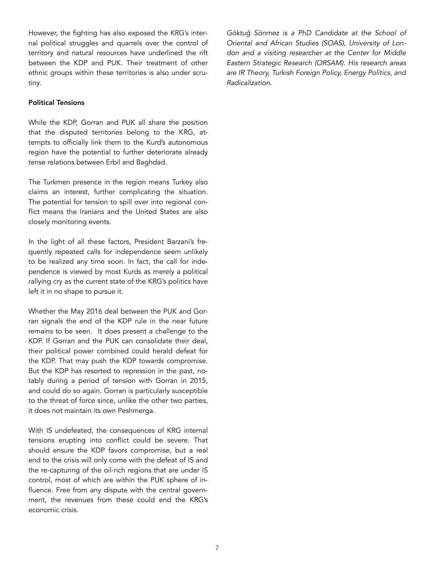However, the fighting has also exposed the KRG's internal political struggles and quarrels over the control of territory and natural resources have underlined the rift between the KDP and PUK. Their treatment of other ethnic groups within these territories is also under scrutiny.

#### Political Tensions

While the KDP, Gorran and PUK all share the position that the disputed territories belong to the KRG, attempts to officially link them to the Kurd's autonomous region have the potential to further deteriorate already tense relations between Erbil and Baghdad.

The Turkmen presence in the region means Turkey also claims an interest, further complicating the situation. The potential for tension to spill over into regional conflict means the Iranians and the United States are also closely monitoring events.

In the light of all these factors, President Barzani's frequently repeated calls for independence seem unlikely to be realized any time soon. In fact, the call for independence is viewed by most Kurds as merely a political rallying cry as the current state of the KRG's politics have left it in no shape to pursue it.

Whether the May 2016 deal between the PUK and Gorran signals the end of the KDP rule in the near future remains to be seen. It does present a challenge to the KDP. If Gorran and the PUK can consolidate their deal, their political power combined could herald defeat for the KDP. That may push the KDP towards compromise. But the KDP has resorted to repression in the past, notably during a period of tension with Gorran in 2015, and could do so again. Gorran is particularly susceptible to the threat of force since, unlike the other two parties, it does not maintain its own Peshmerga.

With IS undefeated, the consequences of KRG internal tensions erupting into conflict could be severe. That should ensure the KDP favors compromise, but a real end to the crisis will only come with the defeat of IS and the re-capturing of the oil-rich regions that are under IS control, most of which are within the PUK sphere of influence. Free from any dispute with the central government, the revenues from these could end the KRG's economic crisis.

*Göktu*ğ *Sönmez is a PhD Candidate at the School of Oriental and African Studies (SOAS), University of London and a visiting researcher at the Center for Middle Eastern Strategic Research (ORSAM). His research areas are IR Theory, Turkish Foreign Policy, Energy Politics, and Radicalization.*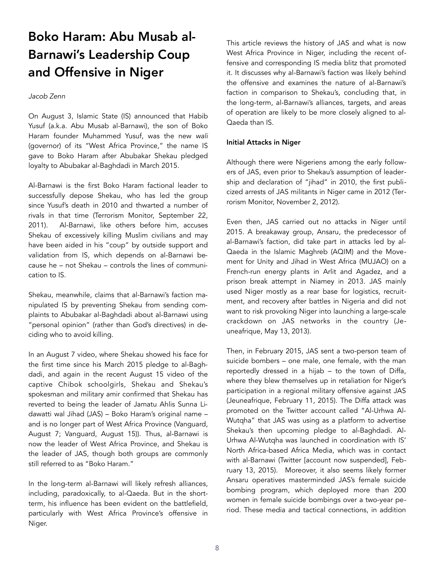# Boko Haram: Abu Musab al-Barnawi's Leadership Coup and Offensive in Niger

#### *Jacob Zenn*

On August 3, Islamic State (IS) announced that Habib Yusuf (a.k.a. Abu Musab al-Barnawi), the son of Boko Haram founder Muhammed Yusuf, was the new *wali* (governor) of its "West Africa Province," the name IS gave to Boko Haram after Abubakar Shekau pledged loyalty to Abubakar al-Baghdadi in March 2015.

Al-Barnawi is the first Boko Haram factional leader to successfully depose Shekau, who has led the group since Yusuf's death in 2010 and thwarted a number of rivals in that time [\(Terrorism Monitor,](http://www.jamestown.org/programs/tm/single/?tx) September 22, 2011). Al-Barnawi, like others before him, accuses Shekau of excessively killing Muslim civilians and may have been aided in his "coup" by outside support and validation from IS, which depends on al-Barnawi because he – not Shekau – controls the lines of communication to IS.

Shekau, meanwhile, claims that al-Barnawi's faction manipulated IS by preventing Shekau from sending complaints to Abubakar al-Baghdadi about al-Barnawi using "personal opinion" (rather than God's directives) in deciding who to avoid killing.

In an August 7 video, where Shekau showed his face for the first time since his March 2015 pledge to al-Baghdadi, and again in the recent August 15 video of the captive Chibok schoolgirls, Shekau and Shekau's spokesman and military amir confirmed that Shekau has reverted to being the leader of Jamatu Ahlis Sunna Lidawatti wal Jihad (JAS) – Boko Haram's original name – and is no longer part of West Africa Province ([Vanguard,](http://www.vanguardngr.com/2016/08/know-boko-harams-new-leader-abu-musab-al-barnawi/) August 7; [Vanguard,](http://www.vanguardngr.com/2016/08/video-boko-haram-releases-new-footage-of-chibok-girls/) August 15)). Thus, al-Barnawi is now the leader of West Africa Province, and Shekau is the leader of JAS, though both groups are commonly still referred to as "Boko Haram."

In the long-term al-Barnawi will likely refresh alliances, including, paradoxically, to al-Qaeda. But in the shortterm, his influence has been evident on the battlefield, particularly with West Africa Province's offensive in Niger.

This article reviews the history of JAS and what is now West Africa Province in Niger, including the recent offensive and corresponding IS media blitz that promoted it. It discusses why al-Barnawi's faction was likely behind the offensive and examines the nature of al-Barnawi's faction in comparison to Shekau's, concluding that, in the long-term, al-Barnawi's alliances, targets, and areas of operation are likely to be more closely aligned to al-Qaeda than IS.

#### Initial Attacks in Niger

Although there were Nigeriens among the early followers of JAS, even prior to Shekau's assumption of leadership and declaration of "jihad" in 2010, the first publi[cized arrests of JAS militants in Niger came in 2012 \(Ter](http://www.jamestown.org/single/?tx_ttnews%5Btt_news%5D=40054&no_cache=1%22%20%5Cl%20%22.V4iyfZN97I0)rorism Monitor, November 2, 2012).

Even then, JAS carried out no attacks in Niger until 2015. A breakaway group, Ansaru, the predecessor of al-Barnawi's faction, did take part in attacks led by al-Qaeda in the Islamic Maghreb (AQIM) and the Movement for Unity and Jihad in West Africa (MUJAO) on a French-run energy plants in Arlit and Agadez, and a prison break attempt in Niamey in 2013. JAS mainly used Niger mostly as a rear base for logistics, recruitment, and recovery after battles in Nigeria and did not want to risk provoking Niger into launching a large-scale [crackdown on JAS networks in the country \(Je](http://www.jeuneafrique.com/170667/politique/niger-au-moins-23-morts-dans-les-attentats-d-arlit-et-d-agadez/)uneafrique, May 13, 2013).

Then, in February 2015, JAS sent a two-person team of suicide bombers – one male, one female, with the man reportedly dressed in a hijab – to the town of Diffa, where they blew themselves up in retaliation for Niger's participation in a regional military offensive against JAS ([Jeuneafrique,](http://www.jeuneafrique.com/depeches/342) February 11, 2015). The Diffa attack was promoted on the Twitter account called "Al-Urhwa Al-Wutqha" that JAS was using as a platform to advertise Shekau's then upcoming pledge to al-Baghdadi. Al-Urhwa Al-Wutqha was launched in coordination with IS' North Africa-based Africa Media, which was in contact with al-Barnawi (Twitter [account now suspended], February 13, 2015). Moreover, it also seems likely former Ansaru operatives masterminded JAS's female suicide bombing program, which deployed more than 200 women in female suicide bombings over a two-year period. These media and tactical connections, in addition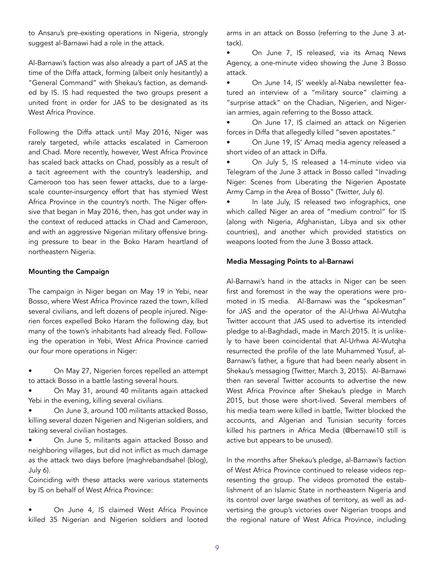to Ansaru's pre-existing operations in Nigeria, strongly suggest al-Barnawi had a role in the attack.

Al-Barnawi's faction was also already a part of JAS at the time of the Diffa attack, forming (albeit only hesitantly) a "General Command" with Shekau's faction, as demanded by IS. IS had requested the two groups present a united front in order for JAS to be designated as its West Africa Province.

Following the Diffa attack until May 2016, Niger was rarely targeted, while attacks escalated in Cameroon and Chad. More recently, however, West Africa Province has scaled back attacks on Chad, possibly as a result of a tacit agreement with the country's leadership, and Cameroon too has seen fewer attacks, due to a largescale counter-insurgency effort that has stymied West Africa Province in the country's north. The Niger offensive that began in May 2016, then, has got under way in the context of reduced attacks in Chad and Cameroon, and with an aggressive Nigerian military offensive bringing pressure to bear in the Boko Haram heartland of northeastern Nigeria.

#### Mounting the Campaign

The campaign in Niger began on May 19 in Yebi, near Bosso, where West Africa Province razed the town, killed several civilians, and left dozens of people injured. Nigerien forces expelled Boko Haram the following day, but many of the town's inhabitants had already fled. Following the operation in Yebi, West Africa Province carried our four more operations in Niger:

• On May 27, Nigerien forces repelled an attempt to attack Bosso in a battle lasting several hours.

• On May 31, around 40 militants again attacked Yebi in the evening, killing several civilians.

• On June 3, around 100 militants attacked Bosso, killing several dozen Nigerien and Nigerian soldiers, and taking several civilian hostages.

• On June 5, militants again attacked Bosso and neighboring villages, but did not inflict as much damage as the attack two days before ([maghrebandsahel \(blog\),](https://maghrebandsahel.wordpress.com/) July 6).

Coinciding with these attacks were various statements by IS on behalf of West Africa Province:

• On June 4, IS claimed West Africa Province killed 35 Nigerian and Nigerien soldiers and looted arms in an attack on Bosso (referring to the June 3 attack).

• On June 7, IS released, via its Amaq News Agency, a one-minute video showing the June 3 Bosso attack.

• On June 14, IS' weekly al-Naba newsletter featured an interview of a "military source" claiming a "surprise attack" on the Chadian, Nigerien, and Nigerian armies, again referring to the Bosso attack.

• On June 17, IS claimed an attack on Nigerien forces in Diffa that allegedly killed "seven apostates."

• On June 19, IS' Amaq media agency released a short video of an attack in Diffa.

• On July 5, IS released a 14-minute video via Telegram of the June 3 attack in Bosso called "Invading Niger: Scenes from Liberating the Nigerien Apostate Army Camp in the Area of Bosso" ([Twitter,](http://jihadology.net/2016/07/06/new-video-message-from-the-islamic-state-the-raid-of-niger-coverage-of-the-liberation-of-the-nigerien-military-training-camp-in-the-bosso-ar) July 6).

In late July, IS released two infographics, one which called Niger an area of "medium control" for IS (along with Nigeria, Afghanistan, Libya and six other countries), and another which provided statistics on weapons looted from the June 3 Bosso attack.

#### Media Messaging Points to al-Barnawi

Al-Barnawi's hand in the attacks in Niger can be seen first and foremost in the way the operations were promoted in IS media. Al-Barnawi was the "spokesman" for JAS and the operator of the Al-Urhwa Al-Wutqha Twitter account that JAS used to advertise its intended pledge to al-Baghdadi, made in March 2015. It is unlikely to have been coincidental that Al-Urhwa Al-Wutqha resurrected the profile of the late Muhammed Yusuf, al-Barnawi's father, a figure that had been nearly absent in Shekau's messaging ([Twitter,](https://azelin.files.wordpress.com/2015/03/jamc481_at-ahl-al-sunnah-li-l-da_wah-wa-l-jihc481d-22grouping-of-sermons-of-the-imc481m-abc5ab-yc5absuf-mue1b8a5ammad-bi) March 3, 2015). Al-Barnawi then ran several Twitter accounts to advertise the new West Africa Province after Shekau's pledge in March 2015, but those were short-lived. Several members of his media team were killed in battle, Twitter blocked the accounts, and Algerian and Tunisian security forces killed his partners in Africa Media (@bernawi10 still is active but appears to be unused).

In the months after Shekau's pledge, al-Barnawi's faction of West Africa Province continued to release videos representing the group. The videos promoted the establishment of an Islamic State in northeastern Nigeria and its control over large swathes of territory, as well as advertising the group's victories over Nigerian troops and the regional nature of West Africa Province, including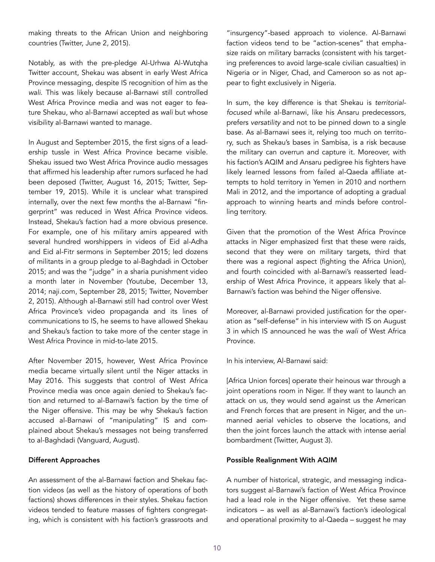making threats to the African Union and neighboring countries [\(Twitter,](http://jihadology.net/2015/06/02/new-video-message-from-the-islamic-state-arrivals-of-the-soldiers-of-the-caliphate-in-west-africa-wilayat-g) June 2, 2015).

Notably, as with the pre-pledge Al-Urhwa Al-Wutqha Twitter account, Shekau was absent in early West Africa Province messaging, despite IS recognition of him as the *wali*. This was likely because al-Barnawi still controlled West Africa Province media and was not eager to feature Shekau, who al-Barnawi accepted as *wali* but whose visibility al-Barnawi wanted to manage.

In August and September 2015, the first signs of a leadership tussle in West Africa Province became visible. Shekau issued two West Africa Province audio messages that affirmed his leadership after rumors surfaced he had been deposed ([Twitter,](http://jihadology.net/2015/08/16/new-audio-message-from-the-islamic-state-words-from-the-leader-of-wilayat-) August 16, 2015; [Twitter,](http://jihadology.net/2015/09/19/new-audio-message-from-the-islamic-states-abu-bakr-al-shekau-message-to-the-infidels-of-nigeria-wilayat-gharb-ifriqiyyah/) September 19, 2015). While it is unclear what transpired internally, over the next few months the al-Barnawi "fingerprint" was reduced in West Africa Province videos. Instead, Shekau's faction had a more obvious presence. For example, one of his military amirs appeared with several hundred worshippers in videos of Eid al-Adha and Eid al-Fitr sermons in September 2015; led dozens of militants in a group pledge to al-Baghdadi in October 2015; and was the "judge" in a sharia punishment video a month later in November (Youtube, December 13, 2014; [naji.com,](https://www.naij.com/569180-shock-see-boko-haram-insurgents-celebrating-sallah-new-video.html) September 28, 2015; [Twitter,](http://jihadology.net/20) November 2, 2015). Although al-Barnawi still had control over West Africa Province's video propaganda and its lines of communications to IS, he seems to have allowed Shekau and Shekau's faction to take more of the center stage in West Africa Province in mid-to-late 2015.

After November 2015, however, West Africa Province media became virtually silent until the Niger attacks in May 2016. This suggests that control of West Africa Province media was once again denied to Shekau's faction and returned to al-Barnawi's faction by the time of the Niger offensive. This may be why Shekau's faction accused al-Barnawi of "manipulating" IS and complained about Shekau's messages not being transferred to al-Baghdadi [\(Vanguard,](http://www.vanguardngr.com/2016/08/know-boko-harams-new-leader-abu-musab-al-barnawi/) August).

#### Different Approaches

An assessment of the al-Barnawi faction and Shekau faction videos (as well as the history of operations of both factions) shows differences in their styles. Shekau faction videos tended to feature masses of fighters congregating, which is consistent with his faction's grassroots and

"insurgency"-based approach to violence. Al-Barnawi faction videos tend to be "action-scenes" that emphasize raids on military barracks (consistent with his targeting preferences to avoid large-scale civilian casualties) in Nigeria or in Niger, Chad, and Cameroon so as not appear to fight exclusively in Nigeria.

In sum, the key difference is that Shekau is *territorialfocused* while al-Barnawi, like his Ansaru predecessors, prefers *versatility* and not to be pinned down to a single base. As al-Barnawi sees it, relying too much on territory, such as Shekau's bases in Sambisa, is a risk because the military can overrun and capture it. Moreover, with his faction's AQIM and Ansaru pedigree his fighters have likely learned lessons from failed al-Qaeda affiliate attempts to hold territory in Yemen in 2010 and northern Mali in 2012, and the importance of adopting a gradual approach to winning hearts and minds before controlling territory.

Given that the promotion of the West Africa Province attacks in Niger emphasized first that these were raids, second that they were on military targets, third that there was a regional aspect (fighting the Africa Union), and fourth coincided with al-Barnawi's reasserted leadership of West Africa Province, it appears likely that al-Barnawi's faction was behind the Niger offensive.

Moreover, al-Barnawi provided justification for the operation as "self-defense" in his interview with IS on August 3 in which IS announced he was the *wali* of West Africa Province.

In his interview, Al-Barnawi said:

[Africa Union forces] operate their heinous war through a joint operations room in Niger. If they want to launch an attack on us, they would send against us the American and French forces that are present in Niger, and the unmanned aerial vehicles to observe the locations, and then the joint forces launch the attack with intense aerial bombardment ([Twitter,](http://jihadology.net/2016/08/02/new-issue-of-the-islamic-states-n) August 3).

# Possible Realignment With AQIM

A number of historical, strategic, and messaging indicators suggest al-Barnawi's faction of West Africa Province had a lead role in the Niger offensive. Yet these same indicators – as well as al-Barnawi's faction's ideological and operational proximity to al-Qaeda – suggest he may